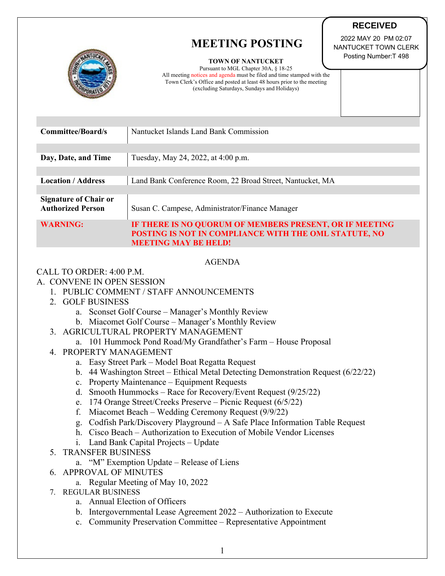# **MEETING POSTING**



**TOWN OF NANTUCKET** 

Pursuant to MGL Chapter 30A, § 18-25 All meeting notices and agenda must be filed and time stamped with the Town Clerk's Office and posted at least 48 hours prior to the meeting (excluding Saturdays, Sundays and Holidays)

 2022 MAY 20 PM 02:07 NANTUCKET TOWN CLERK Posting Number:T 498

**RECEIVED**

| <b>Committee/Board/s</b>                                 | Nantucket Islands Land Bank Commission                                                                                                          |
|----------------------------------------------------------|-------------------------------------------------------------------------------------------------------------------------------------------------|
|                                                          |                                                                                                                                                 |
| Day, Date, and Time                                      | Tuesday, May 24, 2022, at 4:00 p.m.                                                                                                             |
|                                                          |                                                                                                                                                 |
| <b>Location / Address</b>                                | Land Bank Conference Room, 22 Broad Street, Nantucket, MA                                                                                       |
|                                                          |                                                                                                                                                 |
| <b>Signature of Chair or</b><br><b>Authorized Person</b> | Susan C. Campese, Administrator/Finance Manager                                                                                                 |
| <b>WARNING:</b>                                          | IF THERE IS NO QUORUM OF MEMBERS PRESENT, OR IF MEETING<br>POSTING IS NOT IN COMPLIANCE WITH THE OML STATUTE, NO<br><b>MEETING MAY BE HELD!</b> |

#### AGENDA

## CALL TO ORDER: 4:00 P.M.

## A. CONVENE IN OPEN SESSION

- 1. PUBLIC COMMENT / STAFF ANNOUNCEMENTS
- 2. GOLF BUSINESS
	- a. Sconset Golf Course Manager's Monthly Review
	- b. Miacomet Golf Course Manager's Monthly Review
- 3. AGRICULTURAL PROPERTY MANAGEMENT
	- a. 101 Hummock Pond Road/My Grandfather's Farm House Proposal
- 4. PROPERTY MANAGEMENT
	- a. Easy Street Park Model Boat Regatta Request
	- b. 44 Washington Street Ethical Metal Detecting Demonstration Request (6/22/22)
	- c. Property Maintenance Equipment Requests
	- d. Smooth Hummocks Race for Recovery/Event Request (9/25/22)
	- e. 174 Orange Street/Creeks Preserve Picnic Request (6/5/22)
	- f. Miacomet Beach Wedding Ceremony Request (9/9/22)
	- g. Codfish Park/Discovery Playground A Safe Place Information Table Request
	- h. Cisco Beach Authorization to Execution of Mobile Vendor Licenses
	- i. Land Bank Capital Projects Update
- 5. TRANSFER BUSINESS
	- a. "M" Exemption Update Release of Liens
- 6. APPROVAL OF MINUTES
	- a. Regular Meeting of May 10, 2022
- 7. REGULAR BUSINESS
	- a. Annual Election of Officers
	- b. Intergovernmental Lease Agreement 2022 Authorization to Execute
	- c. Community Preservation Committee Representative Appointment